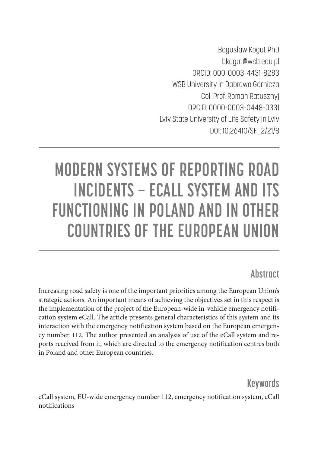Bogusław Kogut PhD bkogut@wsb.edu.pl ORCID: 000-0003-4431-8283 WSB University in Dabrowa Górnicza Col. Prof. Roman Ratusznyj ORCID: 0000-0003-0448-0331 Lviv State University of Life Safety in Lviv DOI: 10.26410/SF\_2/21/8

# **MODERN SYSTEMS OF REPORTING ROAD INCIDENTS – ECALL SYSTEM AND ITS FUNCTIONING IN POLAND AND IN OTHER COUNTRIES OF THE EUROPEAN UNION**

# **Abstract**

Increasing road safety is one of the important priorities among the European Union's strategic actions. An important means of achieving the objectives set in this respect is the implementation of the project of the European-wide in-vehicle emergency notification system eCall. The article presents general characteristics of this system and its interaction with the emergency notification system based on the European emergency number 112. The author presented an analysis of use of the eCall system and reports received from it, which are directed to the emergency notification centres both in Poland and other European countries.

**Keywords** 

eCall system, EU-wide emergency number 112, emergency notification system, eCall notifications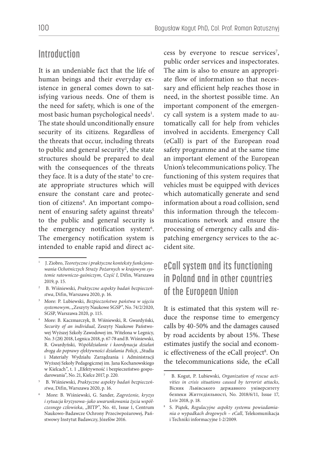### **Introduction**

It is an undeniable fact that the life of human beings and their everyday existence in general comes down to satisfying various needs. One of them is the need for safety, which is one of the most basic human psychological needs<sup>1</sup>. The state should unconditionally ensure security of its citizens. Regardless of the threats that occur, including threats to public and general security<sup>2</sup>, the state structures should be prepared to deal with the consequences of the threats they face. It is a duty of the state<sup>3</sup> to create appropriate structures which will ensure the constant care and protection of citizens<sup>4</sup>. An important component of ensuring safety against threats<sup>5</sup> to the public and general security is the emergency notification system<sup>6</sup>. The emergency notification system is intended to enable rapid and direct ac-

cess by everyone to rescue services<sup>7</sup>, public order services and inspectorates. The aim is also to ensure an appropriate flow of information so that necessary and efficient help reaches those in need, in the shortest possible time. An important component of the emergency call system is a system made to automatically call for help from vehicles involved in accidents. Emergency Call (eCall) is part of the European road safety programme and at the same time an important element of the European Union's telecommunications policy. The functioning of this system requires that vehicles must be equipped with devices which automatically generate and send information about a road collision, send this information through the telecommunications network and ensure the processing of emergency calls and dispatching emergency services to the accident site.

# **eCall system and its functioning in Poland and in other countries of the European Union**

It is estimated that this system will reduce the response time to emergency calls by 40-50% and the damages caused by road accidents by about 15%. These estimates justify the social and economic effectiveness of the eCall project<sup>8</sup>. On the telecommunications side, the eCall

<sup>1</sup> J. Ziobro, *Teoretyczne i praktyczne konteksty funkcjonowania Ochotniczych Straży Pożarnych w krajowym systemie ratowniczo-gaśniczym, Część I*, Difin, Warszawa 2019, p. 15.

<sup>2</sup> B. Wiśniewski, *Praktyczne aspekty badań bezpieczeństwa*, Difin, Warszawa 2020, p. 16.

<sup>3</sup> More: P. Lubiewski, *Bezpieczeństwo państwa w ujęciu*  systemowym, "Zeszyty Naukowe SGSP", No. 74/2/2020, SGSP, Warszawa 2020, p. 115.

<sup>4</sup> More: B. Kaczmarczyk, B. Wiśniewski, R. Gwardyński, *Security of an individual*, Zeszyty Naukowe Państwowej Wyższej Szkoły Zawodowej im. Witelona w Legnicy, No. 3 (28) 2018, Legnica 2018, p. 67-78 and B. Wiśniewski, R. Gwardyński, *Współdziałanie i koordynacja działań drogą do poprawy efektywności działania Policji*, "Studia i Materiały Wydziału Zarządzania i Administracji Wyższej Szkoły Pedagogicznej im. Jana Kochanowskiego w Kielcach", t. 1 "Efektywność i bezpieczeństwo gospodarowania", No. 21, Kielce 2017, p. 220.

<sup>5</sup> B. Wiśniewski, *Praktyczne aspekty badań bezpieczeństwa*, Difin, Warszawa 2020, p. 16.

<sup>6</sup> More: B. Wiśniewski, G. Sander, *Zagrożenie, kryzys i sytuacja kryzysowa–jako uwarunkowania życia współczesnego człowieka*, "BITP", No. 41, Issue 1, Centrum Naukowo-Badawcze Ochrony Przeciwpożarowej, Państwowy Instytut Badawczy, Józefów 2016.

<sup>7</sup> B. Kogut, P. Lubiewski, *Organization of rescue activities in crisis situations caused by terrorist attacks*, Вісник Львівського державного університету безпеки Життєдіяльності, No. 2018/6/11, Issue 17, Lviv 2018, p. 18.

<sup>8</sup> S. Piątek, *Regulacyjne aspekty systemu powiadamiania o wypadkach drogowych – eCall*, Telekomunikacja i Techniki informacyjne 1-2/2009.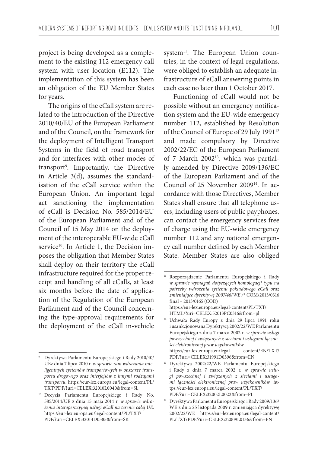project is being developed as a complement to the existing 112 emergency call system with user location (E112). The implementation of this system has been an obligation of the EU Member States for years.

The origins of the eCall system are related to the introduction of the Directive 2010/40/EU of the European Parliament and of the Council, on the framework for the deployment of Intelligent Transport Systems in the field of road transport and for interfaces with other modes of transport9 . Importantly, the Directive in Article 3(d), assumes the standardisation of the eCall service within the European Union. An important legal act sanctioning the implementation of eCall is Decision No. 585/2014/EU of the European Parliament and of the Council of 15 May 2014 on the deployment of the interoperable EU-wide eCall service<sup>10</sup>. In Article 1, the Decision imposes the obligation that Member States shall deploy on their territory the eCall infrastructure required for the proper receipt and handling of all eCalls, at least six months before the date of application of the Regulation of the European Parliament and of the Council concerning the type-approval requirements for the deployment of the eCall in-vehicle

system<sup>11</sup>. The European Union countries, in the context of legal regulations, were obliged to establish an adequate infrastructure of eCall answering points in each case no later than 1 October 2017.

Functioning of eCall would not be possible without an emergency notification system and the EU-wide emergency number 112, established by Resolution of the Council of Europe of 29 July 1991<sup>12</sup> and made compulsory by Directive 2002/22/EC of the European Parliament of 7 March 2002<sup>13</sup>, which was partially amended by Directive 2009/136/EC of the European Parliament and of the Council of 25 November 2009<sup>14</sup>. In accordance with those Directives, Member States shall ensure that all telephone users, including users of public payphones, can contact the emergency services free of charge using the EU-wide emergency number 112 and any national emergency call number defined by each Member State. Member States are also obliged

<sup>9</sup> Dyrektywa Parlamentu Europejskiego i Rady 2010/40/ UEz dnia 7 lipca 2010 r. *w sprawie ram wdrażania inteligentnych systemów transportowych w obszarze transportu drogowego oraz interfejsów z innymi rodzajami transportu.* https://eur-lex.europa.eu/legal-content/PL/ TXT/PDF/?uri=CELEX:32010L0040&from=SL

<sup>10</sup> Decyzja Parlamentu Europejskiego i Rady No. 585/2014/UE z dnia 15 maja 2014 r. *w sprawie wdrożenia interoperacyjnej usługi eCall na terenie całej UE*. https://eur-lex.europa.eu/legal-content/PL/TXT/ PDF/?uri=CELEX:32014D0585&from=SK

<sup>11</sup> Rozporządzenie Parlamentu Europejskiego i Rady *w sprawie wymagań dotyczących homologacji typu na potrzeby wdrożenia systemu pokładowego eCall oraz zmieniające dyrektywę 2007/46/WE /\** COM/2013/0316 final – 2013/0165 (COD) https://eur-lex.europa.eu/legal-content/PL/TXT/

HTML/?uri=CELEX:52013PC0316&from=pl 12 Uchwała Rady Europy z dnia 29 lipca 1991 roku

i usankcjonowana Dyrektywą 2002/22/WE Parlamentu Europejskiego z dnia 7 marca 2002 r. *w sprawie usługi powszechnej i związanych z sieciami i usługami łączności elektronicznej praw użytkowników*. https://eur-lex.europa.eu/legal content/EN/TXT/ PDF/?uri=CELEX:31991D0396&from=EN

<sup>13</sup> Dyrektywa 2002/22/WE Parlamentu Europejskiego i Rady z dnia 7 marca 2002 r. *w sprawie usługi powszechnej i związanych z sieciami i usługami łączności elektronicznej praw użytkowników.* https://eur-lex.europa.eu/legal-content/PL/TXT/ PDF/?uri=CELEX:32002L0022&from=PL

<sup>14</sup> Dyrektywa Parlamentu Europejskiego i Rady 2009/136/ WE z dnia 25 listopada 2009 r. zmieniająca dyrektywę 2002/22/WE https://eur-lex.europa.eu/legal-content/ PL/TXT/PDF/?uri=CELEX:32009L0136&from=EN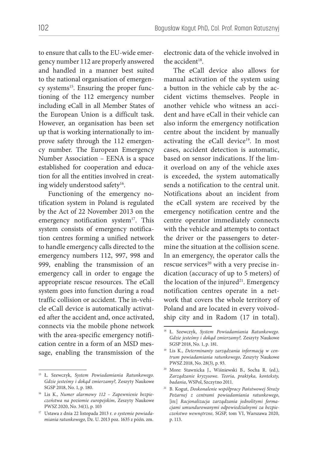to ensure that calls to the EU-wide emergency number 112 are properly answered and handled in a manner best suited to the national organisation of emergency systems<sup>15</sup>. Ensuring the proper functioning of the 112 emergency number including eCall in all Member States of the European Union is a difficult task. However, an organisation has been set up that is working internationally to improve safety through the 112 emergency number. The European Emergency Number Association – EENA is a space established for cooperation and education for all the entities involved in creating widely understood safety<sup>16</sup>.

Functioning of the emergency notification system in Poland is regulated by the Act of 22 November 2013 on the emergency notification system<sup>17</sup>. This system consists of emergency notification centres forming a unified network to handle emergency calls directed to the emergency numbers 112, 997, 998 and 999, enabling the transmission of an emergency call in order to engage the appropriate rescue resources. The eCall system goes into function during a road traffic collision or accident. The in-vehicle eCall device is automatically activated after the accident and, once activated, connects via the mobile phone network with the area-specific emergency notification centre in a form of an MSD message, enabling the transmission of the

electronic data of the vehicle involved in the accident<sup>18</sup>.

The eCall device also allows for manual activation of the system using a button in the vehicle cab by the accident victims themselves. People in another vehicle who witness an accident and have eCall in their vehicle can also inform the emergency notification centre about the incident by manually activating the eCall device<sup>19</sup>. In most cases, accident detection is automatic, based on sensor indications. If the limit overload on any of the vehicle axes is exceeded, the system automatically sends a notification to the central unit. Notifications about an incident from the eCall system are received by the emergency notification centre and the centre operator immediately connects with the vehicle and attempts to contact the driver or the passengers to determine the situation at the collision scene. In an emergency, the operator calls the rescue services<sup>20</sup> with a very precise indication (accuracy of up to 5 meters) of the location of the injured<sup>21</sup>. Emergency notification centres operate in a network that covers the whole territory of Poland and are located in every voivodship city and in Radom (17 in total).

<sup>15</sup> Ł. Szewczyk, *System Powiadamiania Ratunkowego. Gdzie jesteśmy i dokąd zmierzamy?,* Zeszyty Naukowe SGSP 2018, No. 1, p. 180.

<sup>16</sup> Lis K., *Numer alarmowy 112 – Zapewnienie bezpieczeństwa na poziomie europejskim*, Zeszyty Naukowe PWSZ 2020, No. 34(1), p. 103

<sup>17</sup> Ustawa z dnia 22 listopada 2013 r*. o systemie powiadamiania ratunkowego,* Dz. U. 2013 poz. 1635 z późn. zm.

<sup>18</sup> Ł. Szewczyk, *System Powiadamiania Ratunkowego. Gdzie jesteśmy i dokąd zmierzamy?,* Zeszyty Naukowe SGSP 2018, No. 1, p. 181.

<sup>19</sup> Lis K., *Determinanty zarządzania informacją w centrum powiadamiania ratunkowego*, Zeszyty Naukowe PWSZ 2018, No. 28(3), p. 93.

<sup>20</sup> More: Stawnicka J., Wiśniewski B., Socha R. (ed.), *Zarządzanie kryzysowe. Teoria, praktyka, konteksty, badania*, WSPol, Szczytno 2011.

<sup>21</sup> B. Kogut, *Doskonalenie współpracy Państwowej Straży Pożarnej z centrami powiadamiania ratunkowego*, [in:] *Racjonalizacja zarządzania jednolitymi formacjami umundurowanymi odpowiedzialnymi za bezpieczeństwo wewnętrzne,* SGSP, tom VI, Warszawa 2020, p. 113.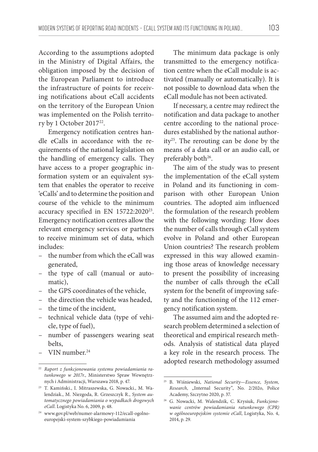According to the assumptions adopted in the Ministry of Digital Affairs, the obligation imposed by the decision of the European Parliament to introduce the infrastructure of points for receiving notifications about eCall accidents on the territory of the European Union was implemented on the Polish territory by 1 October 2017<sup>22</sup>.

Emergency notification centres handle eCalls in accordance with the requirements of the national legislation on the handling of emergency calls. They have access to a proper geographic information system or an equivalent system that enables the operator to receive 'eCalls' and to determine the position and course of the vehicle to the minimum accuracy specified in EN 15722:2020<sup>23</sup>. Emergency notification centres allow the relevant emergency services or partners to receive minimum set of data, which includes:

- the number from which the eCall was generated,
- the type of call (manual or automatic),
- the GPS coordinates of the vehicle,
- the direction the vehicle was headed,
- the time of the incident,
- technical vehicle data (type of vehicle, type of fuel),
- number of passengers wearing seat belts,
- VIN number.24

The minimum data package is only transmitted to the emergency notification centre when the eCall module is activated (manually or automatically). It is not possible to download data when the eCall module has not been activated.

If necessary, a centre may redirect the notification and data package to another centre according to the national procedures established by the national authority25. The rerouting can be done by the means of a data call or an audio call, or preferably both<sup>26</sup>.

The aim of the study was to present the implementation of the eCall system in Poland and its functioning in comparison with other European Union countries. The adopted aim influenced the formulation of the research problem with the following wording: How does the number of calls through eCall system evolve in Poland and other European Union countries? The research problem expressed in this way allowed examining those areas of knowledge necessary to present the possibility of increasing the number of calls through the eCall system for the benefit of improving safety and the functioning of the 112 emergency notification system.

The assumed aim and the adopted research problem determined a selection of theoretical and empirical research methods. Analysis of statistical data played a key role in the research process. The adopted research methodology assumed

<sup>22</sup> *Raport z funkcjonowania systemu powiadamiania ratunkowego w 2017r.*, Ministerstwo Spraw Wewnętrznych i Administracji, Warszawa 2018, p. 47.

<sup>23</sup> T. Kamiński., I. Mitraszewska, G. Nowacki., M. Walendziak., M. Niezgoda, R. Grzeszczyk R., *System automatycznego powiadamiania o wypadkach drogowych eCall*. Logistyka No. 6, 2009, p. 48.

<sup>24</sup> www.gov.pl/web/numer-alarmowy-112/ecall-ogolnoeuropejski-system-szybkiego-powiadamiania

<sup>25</sup> B. Wiśniewski, *National Security—Essence, System,*  Research, "Internal Security", No. 2/202o, Police Academy, Szczytno 2020, p. 37.

<sup>26</sup> G. Nowacki, M. Walendzik, C. Krysiuk, *Funkcjonowanie centrów powiadamiania ratunkowego (CPR) w ogólnoeuropejskim systemie eCall*, Logistyka, No. 4, 2014, p. 29.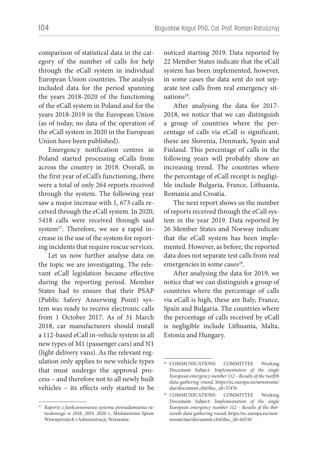comparison of statistical data in the category of the number of calls for help through the eCall system in individual European Union countries. The analysis included data for the period spanning the years 2018-2020 of the functioning of the eCall system in Poland and for the years 2018-2019 in the European Union (as of today, no data of the operation of the eCall system in 2020 in the European Union have been published).

Emergency notification centres in Poland started processing eCalls from across the country in 2018. Overall, in the first year of eCall's functioning, there were a total of only 264 reports received through the system. The following year saw a major increase with 1, 673 calls received through the eCall system. In 2020, 5418 calls were received through said system $27$ . Therefore, we see a rapid increase in the use of the system for reporting incidents that require rescue services.

Let us now further analyse data on the topic we are investigating. The relevant eCall legislation became effective during the reporting period. Member States had to ensure that their PSAP (Public Safery Anserwing Point) system was ready to receive electronic calls from 1 October 2017. As of 31 March 2018, car manufacturers should install a 112-based eCall in-vehicle system in all new types of M1 (passenger cars) and N1 (light delivery vans). As the relevant regulation only applies to new vehicle types that must undergo the approval process – and therefore not to all newly built vehicles – its effects only started to be

27 *Raporty z funkcjonowania systemu powiadamiania ratunkowego w 2018, 2019, 2020 r.*, Ministerstwo Spraw Wewnętrznych i Administracji, Warszawa.

noticed starting 2019. Data reported by 22 Member States indicate that the eCall system has been implemented, however, in some cases the data sent do not separate test calls from real emergency situation $s^{28}$ .

After analysing the data for 2017- 2018, we notice that we can distinguish a group of countries where the percentage of calls via eCall is significant, these are Slovenia, Denmark, Spain and Finland. This percentage of calls in the following years will probably show an increasing trend. The countries where the percentage of eCall receipt is negligible include Bulgaria, France, Lithuania, Romania and Croatia.

The next report shows us the number of reports received through the eCall system in the year 2019. Data reported by 26 Member States and Norway indicate that the eCall system has been implemented. However, as before, the reported data does not separate test calls from real emergencies in some cases<sup>29</sup>.

After analysing the data for 2019, we notice that we can distinguish a group of countries where the percentage of calls via eCall is high, these are Italy, France, Spain and Bulgaria. The countries where the percentage of calls received by eCall is negligible include Lithuania, Malta, Estonia and Hungary.

<sup>28</sup> COMMUNICATIONS COMMITTEE Working Document Subject: *Implementation of the single European emergency number 112 – Results of the twelfth data-gathering round*, https://ec.europa.eu/newsroom/ dae/document.cfm?doc\_id=57476

<sup>29</sup> COMMUNICATIONS COMMITTEE Working Document Subject: *Implementation of the single European emergency number 112 – Results of the thirteenth data-gathering round*, https://ec.europa.eu/newsroom/dae/document.cfm?doc\_id=64510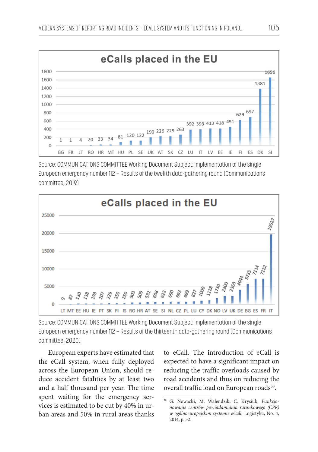

Source: COMMUNICATIONS COMMITTEE Working Document Subject: Implementation of the single European emergency number 112 – Results of the twelfth data-gathering round (Communications committee, 2019).



Source: COMMUNICATIONS COMMITTEE Working Document Subject: Implementation of the single European emergency number 112 – Results of the thirteenth data-gathering round (Communications committee, 2020).

European experts have estimated that the eCall system, when fully deployed across the European Union, should reduce accident fatalities by at least two and a half thousand per year. The time spent waiting for the emergency services is estimated to be cut by 40% in urban areas and 50% in rural areas thanks to eCall. The introduction of eCall is expected to have a significant impact on reducing the traffic overloads caused by road accidents and thus on reducing the overall traffic load on European roads<sup>30</sup>.

<sup>30</sup> G. Nowacki, M. Walendzik, C. Krysiuk, *Funkcjonowanie centrów powiadamiania ratunkowego (CPR) w ogólnoeuropejskim systemie eCall*, Logistyka, No. 4, 2014, p. 32.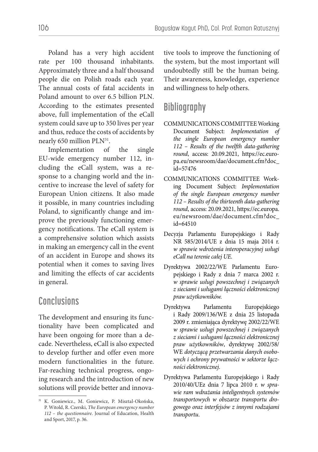Poland has a very high accident rate per 100 thousand inhabitants. Approximately three and a half thousand people die on Polish roads each year. The annual costs of fatal accidents in Poland amount to over 6.5 billion PLN. According to the estimates presented above, full implementation of the eCall system could save up to 350 lives per year and thus, reduce the costs of accidents by nearly 650 million PLN<sup>31</sup>.

Implementation of the single EU-wide emergency number 112, including the eCall system, was a response to a changing world and the incentive to increase the level of safety for European Union citizens. It also made it possible, in many countries including Poland, to significantly change and improve the previously functioning emergency notifications. The eCall system is a comprehensive solution which assists in making an emergency call in the event of an accident in Europe and shows its potential when it comes to saving lives and limiting the effects of car accidents in general.

### **Conclusions**

The development and ensuring its functionality have been complicated and have been ongoing for more than a decade. Nevertheless, eCall is also expected to develop further and offer even more modern functionalities in the future. Far-reaching technical progress, ongoing research and the introduction of new solutions will provide better and innovative tools to improve the functioning of the system, but the most important will undoubtedly still be the human being. Their awareness, knowledge, experience and willingness to help others.

## **Bibliography**

- COMMUNICATIONS COMMITTEE Working Document Subject: *Implementation of the single European emergency number 112 – Results of the twelfth data-gathering round*, access: 20.09.2021, https://ec.europa.eu/newsroom/dae/document.cfm?doc\_ id=57476
- COMMUNICATIONS COMMITTEE Working Document Subject: *Implementation of the single European emergency number 112 – Results of the thirteenth data-gathering round*, access: 20.09.2021, https://ec.europa. eu/newsroom/dae/document.cfm?doc\_ id=64510
- Decyzja Parlamentu Europejskiego i Rady NR 585/2014/UE z dnia 15 maja 2014 r. *w sprawie wdrożenia interoperacyjnej usługi eCall na terenie całej UE*.
- Dyrektywa 2002/22/WE Parlamentu Europejskiego i Rady z dnia 7 marca 2002 r. *w sprawie usługi powszechnej i związanych z sieciami i usługami łączności elektronicznej praw użytkowników.*
- Dyrektywa Parlamentu Europejskiego i Rady 2009/136/WE z dnia 25 listopada 2009 r. zmieniająca dyrektywę 2002/22/WE *w sprawie usługi powszechnej i związanych z sieciami i usługami łączności elektronicznej praw użytkowników*, dyrektywę 2002/58/ WE *dotyczącą przetwarzania danych osobowych i ochrony prywatności w sektorze łączności elektronicznej*.
- Dyrektywa Parlamentu Europejskiego i Rady 2010/40/UEz dnia 7 lipca 2010 r. *w sprawie ram wdrażania inteligentnych systemów transportowych w obszarze transportu drogowego oraz interfejsów z innymi rodzajami transportu*.

<sup>31</sup> K. Goniewicz., M. Goniewicz, P. Misztal-Okońska, P. Witold, R. Czerski, *The European emergency number 112 – the questionnaire*. Journal of Education, Health and Sport, 2017, p. 36.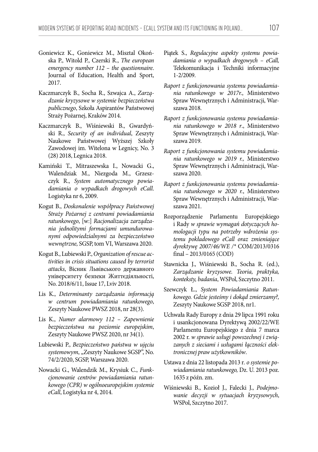- Goniewicz K., Goniewicz M., Misztal Okońska P., Witold P., Czerski R., *The european emergency number 112 – the questionnaire*. Journal of Education, Health and Sport, 2017.
- Kaczmarczyk B., Socha R., Szwajca A., *Zarządzanie kryzysowe w systemie bezpieczeństwa publicznego*, Szkoła Aspirantów Państwowej Straży Pożarnej, Kraków 2014.
- Kaczmarczyk B., Wiśniewski B., Gwardyński R., *Security of an individual*, Zeszyty Naukowe Państwowej Wyższej Szkoły Zawodowej im. Witelona w Legnicy, No. 3 (28) 2018, Legnica 2018.
- Kamiński T., Mitraszewska I., Nowacki G., Walendziak M., Niezgoda M., Grzeszczyk R., *System automatycznego powiadamiania o wypadkach drogowych eCall*. Logistyka nr 6, 2009.
- Kogut B., *Doskonalenie współpracy Państwowej Straży Pożarnej z centrami powiadamiania ratunkowego*, [w:] *Racjonalizacja zarządzania jednolitymi formacjami umundurowanymi odpowiedzialnymi za bezpieczeństwo wewnętrzne,* SGSP, tom VI, Warszawa 2020.
- Kogut B., Lubiewski P., *Organization of rescue activities in crisis situations caused by terrorist attacks*, Вісник Львівського державного університету безпеки Життєдіяльності, No. 2018/6/11, Issue 17, Lviv 2018.
- Lis K., *Determinanty zarządzania informacją w centrum powiadamiania ratunkowego*, Zeszyty Naukowe PWSZ 2018, nr 28(3).
- Lis K., *Numer alarmowy 112 Zapewnienie bezpieczeństwa na poziomie europejskim*, Zeszyty Naukowe PWSZ 2020, nr 34(1).
- Lubiewski P., *Bezpieczeństwo państwa w ujęciu*  systemowym, "Zeszyty Naukowe SGSP", No. 74/2/2020, SGSP, Warszawa 2020.
- Nowacki G., Walendzik M., Krysiuk C., *Funkcjonowanie centrów powiadamiania ratunkowego (CPR) w ogólnoeuropejskim systemie eCall*, Logistyka nr 4, 2014.
- Piątek S., *Regulacyjne aspekty systemu powiadamiania o wypadkach drogowych – eCall,*  Telekomunikacja i Techniki informacyjne 1-2/2009.
- *Raport z funkcjonowania systemu powiadamiania ratunkowego w 2017r.*, Ministerstwo Spraw Wewnętrznych i Administracji, Warszawa 2018.
- *Raport z funkcjonowania systemu powiadamiania ratunkowego w 2018 r*., Ministerstwo Spraw Wewnętrznych i Administracji, Warszawa 2019.
- *Raport z funkcjonowania systemu powiadamiania ratunkowego w 2019 r.,* Ministerstwo Spraw Wewnętrznych i Administracji, Warszawa 2020.
- *Raport z funkcjonowania systemu powiadamiania ratunkowego w 2020 r.*, Ministerstwo Spraw Wewnętrznych i Administracji, Warszawa 2021.
- Rozporządzenie Parlamentu Europejskiego i Rady *w sprawie wymagań dotyczących homologacji typu na potrzeby wdrożenia systemu pokładowego eCall oraz zmieniające dyrektywę 2007/46/WE /\** COM/2013/0316 final – 2013/0165 (COD)
- Stawnicka J., Wiśniewski B., Socha R. (ed.), *Zarządzanie kryzysowe. Teoria, praktyka, konteksty, badania*, WSPol, Szczytno 2011.
- Szewczyk Ł., *System Powiadamiania Ratunkowego. Gdzie jesteśmy i dokąd zmierzamy?,*  Zeszyty Naukowe SGSP 2018, nr1.
- Uchwała Rady Europy z dnia 29 lipca 1991 roku i usankcjonowana Dyrektywą 2002/22/WE Parlamentu Europejskiego z dnia 7 marca 2002 r. *w sprawie usługi powszechnej i związanych z sieciami i usługami łączności elektronicznej praw użytkowników*.
- Ustawa z dnia 22 listopada 2013 r*. o systemie powiadamiania ratunkowego,* Dz. U. 2013 poz. 1635 z późn. zm.
- Wiśniewski B., Kozioł J., Falecki J., *Podejmowanie decyzji w sytuacjach kryzysowych*, WSPol, Szczytno 2017.